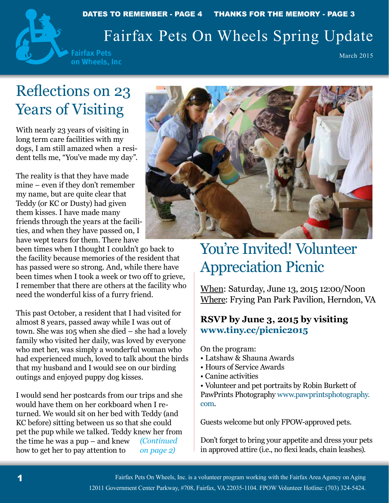## Fairfax Pets On Wheels Spring Update



March 2015

# Reflections on 23 Years of Visiting

With nearly 23 years of visiting in long term care facilities with my dogs, I am still amazed when a resident tells me, "You've made my day".

The reality is that they have made mine – even if they don't remember my name, but are quite clear that Teddy (or KC or Dusty) had given them kisses. I have made many friends through the years at the facilities, and when they have passed on, I have wept tears for them. There have

been times when I thought I couldn't go back to the facility because memories of the resident that has passed were so strong. And, while there have been times when I took a week or two off to grieve, I remember that there are others at the facility who need the wonderful kiss of a furry friend.

This past October, a resident that I had visited for almost 8 years, passed away while I was out of town. She was 105 when she died – she had a lovely family who visited her daily, was loved by everyone who met her, was simply a wonderful woman who had experienced much, loved to talk about the birds that my husband and I would see on our birding outings and enjoyed puppy dog kisses.

I would send her postcards from our trips and she would have them on her corkboard when I returned. We would sit on her bed with Teddy (and KC before) sitting between us so that she could pet the pup while we talked. Teddy knew her from the time he was a pup – and knew how to get her to pay attention to *(Continued on page 2)*



# You're Invited! Volunteer Appreciation Picnic

When: Saturday, June 13, 2015 12:00/Noon Where: Frying Pan Park Pavilion, Herndon, VA

### **RSVP by June 3, 2015 by visiting www.tiny.cc/picnic2015**

On the program:

- Latshaw & Shauna Awards
- Hours of Service Awards
- Canine activities

• Volunteer and pet portraits by Robin Burkett of PawPrints Photography www.pawprintsphotography. com.

Guests welcome but only FPOW-approved pets.

Don't forget to bring your appetite and dress your pets in approved attire (i.e., no flexi leads, chain leashes).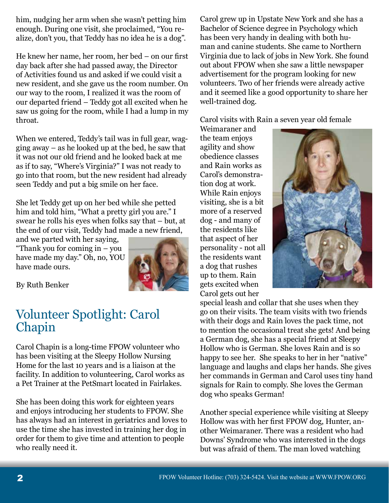him, nudging her arm when she wasn't petting him enough. During one visit, she proclaimed, "You realize, don't you, that Teddy has no idea he is a dog".

He knew her name, her room, her bed – on our first day back after she had passed away, the Director of Activities found us and asked if we could visit a new resident, and she gave us the room number. On our way to the room, I realized it was the room of our departed friend – Teddy got all excited when he saw us going for the room, while I had a lump in my throat.

When we entered, Teddy's tail was in full gear, wagging away – as he looked up at the bed, he saw that it was not our old friend and he looked back at me as if to say, "Where's Virginia?" I was not ready to go into that room, but the new resident had already seen Teddy and put a big smile on her face.

She let Teddy get up on her bed while she petted him and told him, "What a pretty girl you are." I swear he rolls his eyes when folks say that – but, at the end of our visit, Teddy had made a new friend,

and we parted with her saying, "Thank you for coming in – you have made my day." Oh, no, YOU have made ours.



By Ruth Benker

## Volunteer Spotlight: Carol Chapin

Carol Chapin is a long-time FPOW volunteer who has been visiting at the Sleepy Hollow Nursing Home for the last 10 years and is a liaison at the facility. In addition to volunteering, Carol works as a Pet Trainer at the PetSmart located in Fairlakes.

She has been doing this work for eighteen years and enjoys introducing her students to FPOW. She has always had an interest in geriatrics and loves to use the time she has invested in training her dog in order for them to give time and attention to people who really need it.

Carol grew up in Upstate New York and she has a Bachelor of Science degree in Psychology which has been very handy in dealing with both human and canine students. She came to Northern Virginia due to lack of jobs in New York. She found out about FPOW when she saw a little newspaper advertisement for the program looking for new volunteers. Two of her friends were already active and it seemed like a good opportunity to share her well-trained dog.

Carol visits with Rain a seven year old female

Weimaraner and the team enjoys agility and show obedience classes and Rain works as Carol's demonstration dog at work. While Rain enjoys visiting, she is a bit more of a reserved dog - and many of the residents like that aspect of her personality - not all the residents want a dog that rushes up to them. Rain gets excited when Carol gets out her



special leash and collar that she uses when they go on their visits. The team visits with two friends with their dogs and Rain loves the pack time, not to mention the occasional treat she gets! And being a German dog, she has a special friend at Sleepy Hollow who is German. She loves Rain and is so happy to see her. She speaks to her in her "native" language and laughs and claps her hands. She gives her commands in German and Carol uses tiny hand signals for Rain to comply. She loves the German dog who speaks German!

Another special experience while visiting at Sleepy Hollow was with her first FPOW dog, Hunter, another Weimaraner. There was a resident who had Downs' Syndrome who was interested in the dogs but was afraid of them. The man loved watching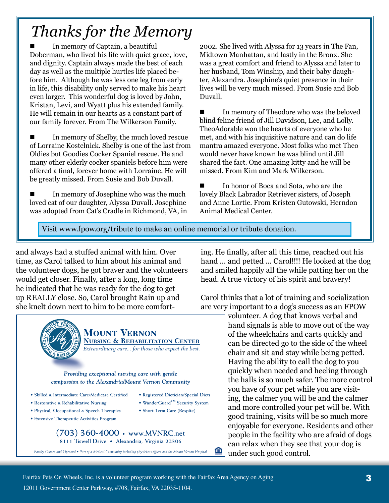# *Thanks for the Memory*

 In memory of Captain, a beautiful Doberman, who lived his life with quiet grace, love, and dignity. Captain always made the best of each day as well as the multiple hurtles life placed before him. Although he was less one leg from early in life, this disability only served to make his heart even larger. This wonderful dog is loved by John, Kristan, Levi, and Wyatt plus his extended family. He will remain in our hearts as a constant part of our family forever. From The Wilkerson Family.

 In memory of Shelby, the much loved rescue of Lorraine Kostelnick. Shelby is one of the last from Oldies but Goodies Cocker Spaniel rescue. He and many other elderly cocker spaniels before him were offered a final, forever home with Lorraine. He will be greatly missed. From Susie and Bob Duvall.

 In memory of Josephine who was the much loved cat of our daughter, Alyssa Duvall. Josephine was adopted from Cat's Cradle in Richmond, VA, in 2002. She lived with Alyssa for 13 years in The Fan, Midtown Manhattan, and lastly in the Bronx. She was a great comfort and friend to Alyssa and later to her husband, Tom Winship, and their baby daughter, Alexandra. Josephine's quiet presence in their lives will be very much missed. From Susie and Bob Duvall.

 In memory of Theodore who was the beloved blind feline friend of Jill Davidson, Lee, and Lolly. TheoAdorable won the hearts of everyone who he met, and with his inquisitive nature and can do life mantra amazed everyone. Most folks who met Theo would never have known he was blind until Jill shared the fact. One amazing kitty and he will be missed. From Kim and Mark Wilkerson.

 In honor of Boca and Sota, who are the lovely Black Labrador Retriever sisters, of Joseph and Anne Lortie. From Kristen Gutowski, Herndon Animal Medical Center.

Visit www.fpow.org/tribute to make an online memorial or tribute donation.

**• Registered Dietician/Special Diets • WanderGuard™ Security System • Short Term Care (Respite)**

⋒

and always had a stuffed animal with him. Over time, as Carol talked to him about his animal and the volunteer dogs, he got braver and the volunteers would get closer. Finally, after a long, long time he indicated that he was ready for the dog to get up REALLY close. So, Carol brought Rain up and she knelt down next to him to be more comfort-



**Mount Vernon Nursing & Rehabilitation Center** *Extraordinary care... for those who expect the best.*

*Providing exceptional nursing care with gentle compassion to the Alexandria/Mount Vernon Community*

- **Skilled & Intermediate Care/Medicare Certified**
- **Restorative & Rehabilitative Nursing**
- **Physical, Occupational & Speech Therapies**
- **Extensive Therapeutic Activities Program**

**(703) 360-4000 • www.MVNRC.net 8111 Tiswell Drive • Alexandria, Virginia 22306**

*Family Owned and Operated • Part of a Medical Community including physicians offices and the Mount Vernon Hospital*

ing. He finally, after all this time, reached out his hand … and petted … Carol!!!! He looked at the dog and smiled happily all the while patting her on the head. A true victory of his spirit and bravery!

Carol thinks that a lot of training and socialization are very important to a dog's success as an FPOW

volunteer. A dog that knows verbal and hand signals is able to move out of the way of the wheelchairs and carts quickly and can be directed go to the side of the wheel chair and sit and stay while being petted. Having the ability to call the dog to you quickly when needed and heeling through the halls is so much safer. The more control you have of your pet while you are visiting, the calmer you will be and the calmer and more controlled your pet will be. With good training, visits will be so much more enjoyable for everyone. Residents and other people in the facility who are afraid of dogs can relax when they see that your dog is under such good control.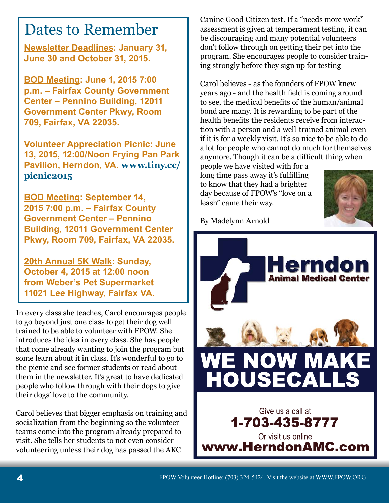## Dates to Remember

**Newsletter Deadlines: January 31, June 30 and October 31, 2015.**

**BOD Meeting: June 1, 2015 7:00 p.m. – Fairfax County Government Center – Pennino Building, 12011 Government Center Pkwy, Room 709, Fairfax, VA 22035.**

**Volunteer Appreciation Picnic: June 13, 2015, 12:00/Noon Frying Pan Park Pavilion, Herndon, VA. www.tiny.cc/ picnic2015**

**BOD Meeting: September 14, 2015 7:00 p.m. – Fairfax County Government Center – Pennino Building, 12011 Government Center Pkwy, Room 709, Fairfax, VA 22035.**

**20th Annual 5K Walk: Sunday, October 4, 2015 at 12:00 noon from Weber's Pet Supermarket 11021 Lee Highway, Fairfax VA.**

In every class she teaches, Carol encourages people to go beyond just one class to get their dog well trained to be able to volunteer with FPOW. She introduces the idea in every class. She has people that come already wanting to join the program but some learn about it in class. It's wonderful to go to the picnic and see former students or read about them in the newsletter. It's great to have dedicated people who follow through with their dogs to give their dogs' love to the community.

Carol believes that bigger emphasis on training and socialization from the beginning so the volunteer teams come into the program already prepared to visit. She tells her students to not even consider volunteering unless their dog has passed the AKC

Canine Good Citizen test. If a "needs more work" assessment is given at temperament testing, it can be discouraging and many potential volunteers don't follow through on getting their pet into the program. She encourages people to consider training strongly before they sign up for testing

Carol believes - as the founders of FPOW knew years ago - and the health field is coming around to see, the medical benefits of the human/animal bond are many. It is rewarding to be part of the health benefits the residents receive from interaction with a person and a well-trained animal even if it is for a weekly visit. It's so nice to be able to do a lot for people who cannot do much for themselves anymore. Though it can be a difficult thing when

people we have visited with for a long time pass away it's fulfilling to know that they had a brighter day because of FPOW's "love on a leash" came their way.



By Madelynn Arnold

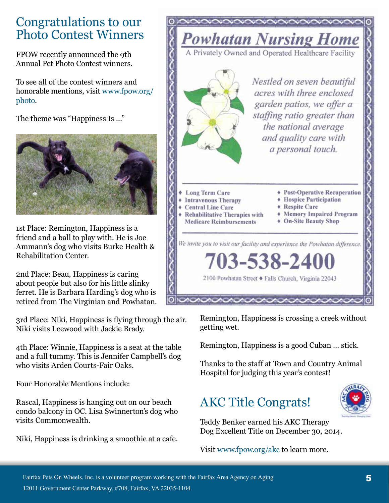## Congratulations to our Photo Contest Winners

FPOW recently announced the 9th Annual Pet Photo Contest winners.

To see all of the contest winners and honorable mentions, visit www.fpow.org/ photo.

The theme was "Happiness Is …"



1st Place: Remington, Happiness is a friend and a ball to play with. He is Joe Ammann's dog who visits Burke Health & Rehabilitation Center.

2nd Place: Beau, Happiness is caring about people but also for his little slinky ferret. He is Barbara Harding's dog who is retired from The Virginian and Powhatan.

3rd Place: Niki, Happiness is flying through the air. Niki visits Leewood with Jackie Brady.

4th Place: Winnie, Happiness is a seat at the table and a full tummy. This is Jennifer Campbell's dog who visits Arden Courts-Fair Oaks.

Four Honorable Mentions include:

Rascal, Happiness is hanging out on our beach condo balcony in OC. Lisa Swinnerton's dog who visits Commonwealth.

Niki, Happiness is drinking a smoothie at a cafe.



Remington, Happiness is crossing a creek without getting wet.

Remington, Happiness is a good Cuban … stick.

Thanks to the staff at Town and Country Animal Hospital for judging this year's contest!

## AKC Title Congrats!



Teddy Benker earned his AKC Therapy Dog Excellent Title on December 30, 2014.

Visit www.fpow.org/akc to learn more.